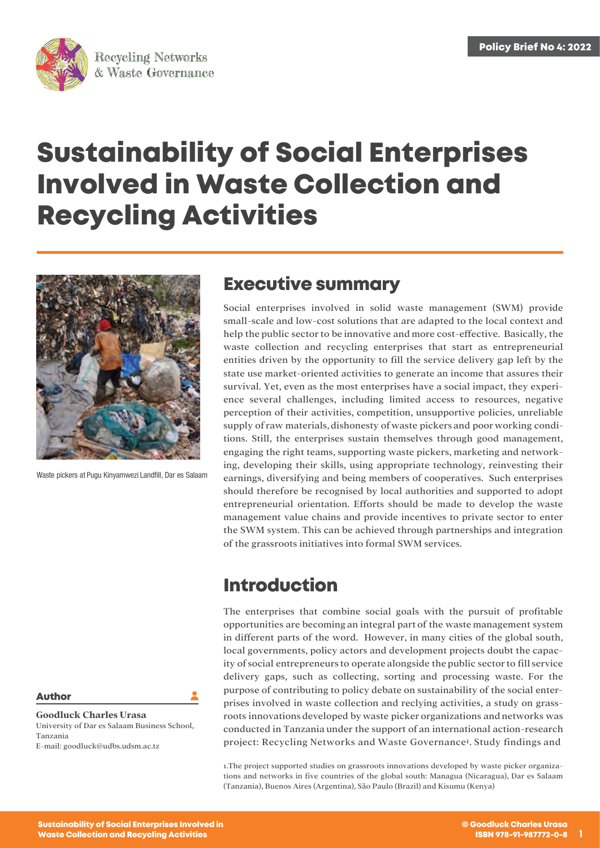

# **Sustainability of Social Enterprises Involved in Waste Collection and Recycling Activities**



Waste pickers at Pugu Kinyamwezi Landfill, Dar es Salaam

#### **Author**

**Goodluck Charles Urasa** University of Dar es Salaam Business School, Tanzania E-mail: [goodluck@udbs.udsm.ac.tz](mailto:goodluck@udbs.udsm.ac.tz)

#### **Executive summary**

Social enterprises involved in solid waste management (SWM) provide small-scale and low-cost solutions that are adapted to the local context and help the public sector to be innovative and more cost-effective. Basically, the waste collection and recycling enterprises that start as entrepreneurial entities driven by the opportunity to fill the service delivery gap left by the state use market-oriented activities to generate an income that assures their survival. Yet, even as the most enterprises have a social impact, they experience several challenges, including limited access to resources, negative perception of their activities, competition, unsupportive policies, unreliable supply of raw materials, dishonesty of waste pickers and poor working conditions. Still, the enterprises sustain themselves through good management, engaging the right teams, supporting waste pickers, marketing and networking, developing their skills, using appropriate technology, reinvesting their earnings, diversifying and being members of cooperatives. Such enterprises should therefore be recognised by local authorities and supported to adopt entrepreneurial orientation. Efforts should be made to develop the waste management value chains and provide incentives to private sector to enter the SWM system. This can be achieved through partnerships and integration of the grassroots initiatives into formal SWM services.

#### **Introduction**

The enterprises that combine social goals with the pursuit of profitable opportunities are becoming an integral part of the waste management system in different parts of the word. However, in many cities of the global south, local governments, policy actors and development projects doubt the capacity of social entrepreneurs to operate alongside the public sector to fill service delivery gaps, such as collecting, sorting and processing waste. For the purpose of contributing to policy debate on sustainability of the social enterprises involved in waste collection and reclying activities, a study on grassroots innovations developed by waste picker organizations and networks was conducted in Tanzania under the support of an international action-research project: Recycling Networks and Waste Governance1. Study findings and

1.The project supported studies on grassroots innovations developed by waste picker organizations and networks in five countries of the global south: Managua (Nicaragua), Dar es Salaam (Tanzania), Buenos Aires (Argentina), São Paulo (Brazil) and Kisumu (Kenya)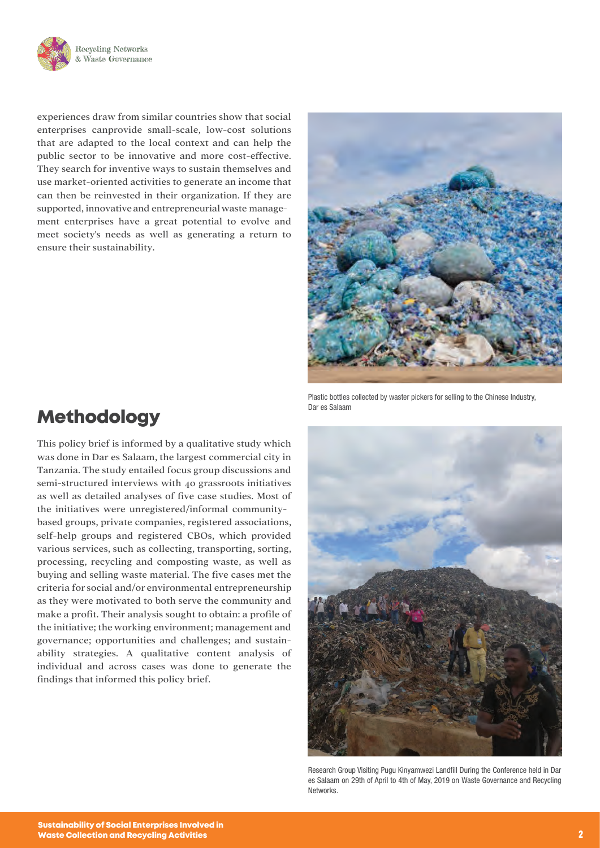

experiences draw from similar countries show that social enterprises canprovide small-scale, low-cost solutions that are adapted to the local context and can help the public sector to be innovative and more cost-effective. They search for inventive ways to sustain themselves and use market-oriented activities to generate an income that can then be reinvested in their organization. If they are supported, innovative and entrepreneurial waste management enterprises have a great potential to evolve and meet society's needs as well as generating a return to ensure their sustainability.



Plastic bottles collected by waster pickers for selling to the Chinese Industry, Dar es Salaam

### **Methodology**

This policy brief is informed by a qualitative study which was done in Dar es Salaam, the largest commercial city in Tanzania. The study entailed focus group discussions and semi-structured interviews with 40 grassroots initiatives as well as detailed analyses of five case studies. Most of the initiatives were unregistered/informal communitybased groups, private companies, registered associations, self-help groups and registered CBOs, which provided various services, such as collecting, transporting, sorting, processing, recycling and composting waste, as well as buying and selling waste material. The five cases met the criteria for social and/or environmental entrepreneurship as they were motivated to both serve the community and make a profit. Their analysis sought to obtain: a profile of the initiative; the working environment; management and governance; opportunities and challenges; and sustainability strategies. A qualitative content analysis of individual and across cases was done to generate the findings that informed this policy brief.



Research Group Visiting Pugu Kinyamwezi Landfill During the Conference held in Dar es Salaam on 29th of April to 4th of May, 2019 on Waste Governance and Recycling Networks.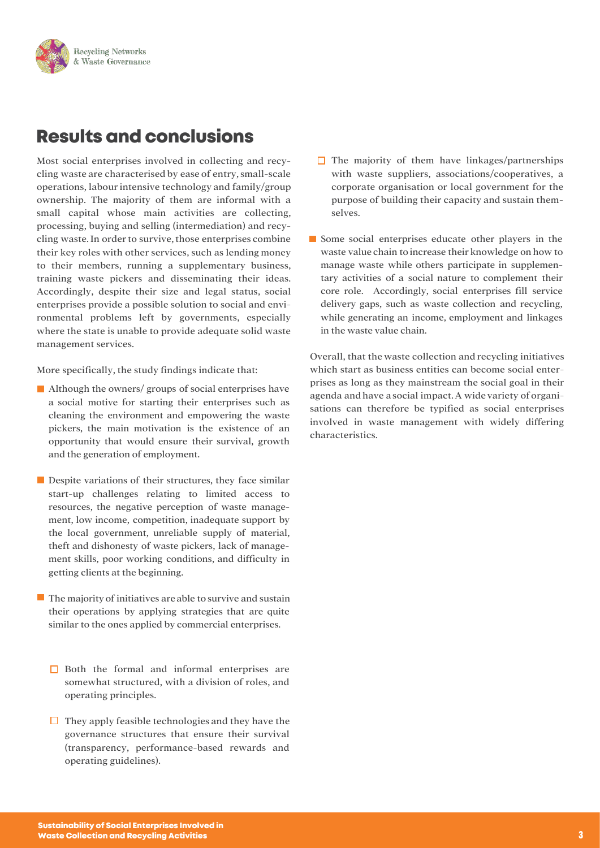

# **Results and conclusions**

Most social enterprises involved in collecting and recycling waste are characterised by ease of entry, small-scale operations, labour intensive technology and family/group ownership. The majority of them are informal with a small capital whose main activities are collecting, processing, buying and selling (intermediation) and recycling waste. In order to survive, those enterprises combine their key roles with other services, such as lending money to their members, running a supplementary business, training waste pickers and disseminating their ideas. Accordingly, despite their size and legal status, social enterprises provide a possible solution to social and environmental problems left by governments, especially where the state is unable to provide adequate solid waste management services.

More specifically, the study findings indicate that:

- Although the owners/ groups of social enterprises have a social motive for starting their enterprises such as cleaning the environment and empowering the waste pickers, the main motivation is the existence of an opportunity that would ensure their survival, growth and the generation of employment.
- **Despite variations of their structures, they face similar** start-up challenges relating to limited access to resources, the negative perception of waste management, low income, competition, inadequate support by the local government, unreliable supply of material, theft and dishonesty of waste pickers, lack of management skills, poor working conditions, and difficulty in getting clients at the beginning.
- $\blacksquare$  The majority of initiatives are able to survive and sustain their operations by applying strategies that are quite similar to the ones applied by commercial enterprises.
	- $\Box$  Both the formal and informal enterprises are somewhat structured, with a division of roles, and operating principles.
	- $\Box$  They apply feasible technologies and they have the governance structures that ensure their survival (transparency, performance-based rewards and operating guidelines).
- $\Box$  The majority of them have linkages/partnerships with waste suppliers, associations/cooperatives, a corporate organisation or local government for the purpose of building their capacity and sustain themselves.
- Some social enterprises educate other players in the waste value chain toincrease their knowledge on how to manage waste while others participate in supplementary activities of a social nature to complement their core role. Accordingly, social enterprises fill service delivery gaps, such as waste collection and recycling, while generating an income, employment and linkages in the waste value chain.

Overall, that the waste collection and recycling initiatives which start as business entities can become social enterprises as long as they mainstream the social goal in their agenda and have a social impact. A wide variety of organisations can therefore be typified as social enterprises involved in waste management with widely differing characteristics.